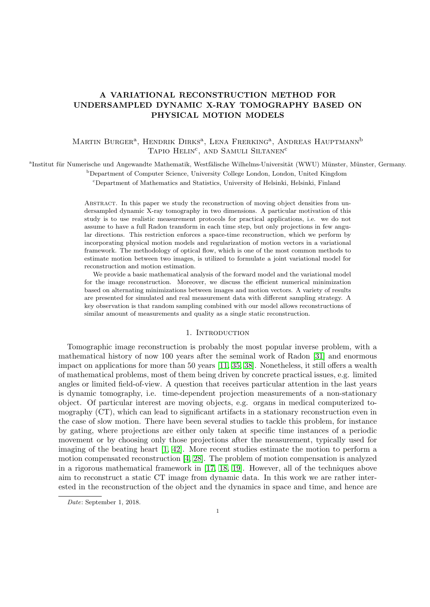# A VARIATIONAL RECONSTRUCTION METHOD FOR UNDERSAMPLED DYNAMIC X-RAY TOMOGRAPHY BASED ON PHYSICAL MOTION MODELS

## MARTIN BURGER<sup>a</sup>, HENDRIK DIRKS<sup>a</sup>, LENA FRERKING<sup>a</sup>, ANDREAS HAUPTMANN<sup>b</sup> TAPIO HELIN<sup>c</sup>, AND SAMULI SILTANEN<sup>C</sup>

<sup>a</sup>Institut für Numerische und Angewandte Mathematik, Westfälische Wilhelms-Universität (WWU) Münster, Münster, Germany.

<sup>b</sup>Department of Computer Science, University College London, London, United Kingdom

<sup>c</sup>Department of Mathematics and Statistics, University of Helsinki, Helsinki, Finland

Abstract. In this paper we study the reconstruction of moving object densities from undersampled dynamic X-ray tomography in two dimensions. A particular motivation of this study is to use realistic measurement protocols for practical applications, i.e. we do not assume to have a full Radon transform in each time step, but only projections in few angular directions. This restriction enforces a space-time reconstruction, which we perform by incorporating physical motion models and regularization of motion vectors in a variational framework. The methodology of optical flow, which is one of the most common methods to estimate motion between two images, is utilized to formulate a joint variational model for reconstruction and motion estimation.

We provide a basic mathematical analysis of the forward model and the variational model for the image reconstruction. Moreover, we discuss the efficient numerical minimization based on alternating minimizations between images and motion vectors. A variety of results are presented for simulated and real measurement data with different sampling strategy. A key observation is that random sampling combined with our model allows reconstructions of similar amount of measurements and quality as a single static reconstruction.

### 1. INTRODUCTION

<span id="page-0-0"></span>Tomographic image reconstruction is probably the most popular inverse problem, with a mathematical history of now 100 years after the seminal work of Radon [\[31\]](#page-23-0) and enormous impact on applications for more than 50 years [\[11,](#page-23-1) [35,](#page-24-0) [38\]](#page-24-1). Nonetheless, it still offers a wealth of mathematical problems, most of them being driven by concrete practical issues, e.g. limited angles or limited field-of-view. A question that receives particular attention in the last years is dynamic tomography, i.e. time-dependent projection measurements of a non-stationary object. Of particular interest are moving objects, e.g. organs in medical computerized tomography (CT), which can lead to significant artifacts in a stationary reconstruction even in the case of slow motion. There have been several studies to tackle this problem, for instance by gating, where projections are either only taken at specific time instances of a periodic movement or by choosing only those projections after the measurement, typically used for imaging of the beating heart [\[1,](#page-22-0) [42\]](#page-24-2). More recent studies estimate the motion to perform a motion compensated reconstruction [\[4,](#page-22-1) [28\]](#page-23-2). The problem of motion compensation is analyzed in a rigorous mathematical framework in [\[17,](#page-23-3) [18,](#page-23-4) [19\]](#page-23-5). However, all of the techniques above aim to reconstruct a static CT image from dynamic data. In this work we are rather interested in the reconstruction of the object and the dynamics in space and time, and hence are

Date: September 1, 2018.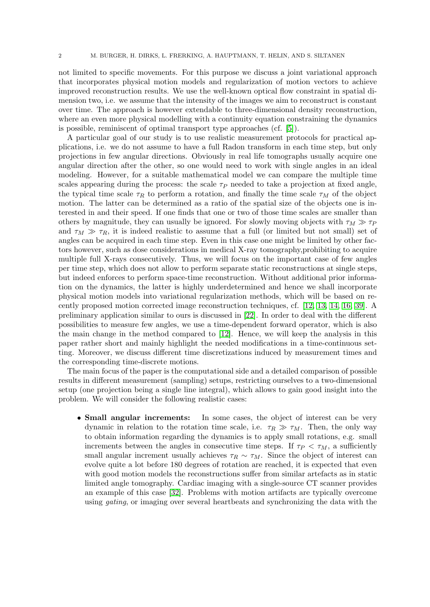not limited to specific movements. For this purpose we discuss a joint variational approach that incorporates physical motion models and regularization of motion vectors to achieve improved reconstruction results. We use the well-known optical flow constraint in spatial dimension two, i.e. we assume that the intensity of the images we aim to reconstruct is constant over time. The approach is however extendable to three-dimensional density reconstruction, where an even more physical modelling with a continuity equation constraining the dynamics is possible, reminiscent of optimal transport type approaches (cf. [\[5\]](#page-22-2)).

A particular goal of our study is to use realistic measurement protocols for practical applications, i.e. we do not assume to have a full Radon transform in each time step, but only projections in few angular directions. Obviously in real life tomographs usually acquire one angular direction after the other, so one would need to work with single angles in an ideal modeling. However, for a suitable mathematical model we can compare the multiple time scales appearing during the process: the scale  $\tau_P$  needed to take a projection at fixed angle, the typical time scale  $\tau_R$  to perform a rotation, and finally the time scale  $\tau_M$  of the object motion. The latter can be determined as a ratio of the spatial size of the objects one is interested in and their speed. If one finds that one or two of those time scales are smaller than others by magnitude, they can usually be ignored. For slowly moving objects with  $\tau_M \gg \tau_P$ and  $\tau_M \gg \tau_R$ , it is indeed realistic to assume that a full (or limited but not small) set of angles can be acquired in each time step. Even in this case one might be limited by other factors however, such as dose considerations in medical X-ray tomography,prohibiting to acquire multiple full X-rays consecutively. Thus, we will focus on the important case of few angles per time step, which does not allow to perform separate static reconstructions at single steps, but indeed enforces to perform space-time reconstruction. Without additional prior information on the dynamics, the latter is highly underdetermined and hence we shall incorporate physical motion models into variational regularization methods, which will be based on recently proposed motion corrected image reconstruction techniques, cf. [\[12,](#page-23-6) [13,](#page-23-7) [14,](#page-23-8) [16,](#page-23-9) [39\]](#page-24-3). A preliminary application similar to ours is discussed in [\[22\]](#page-23-10). In order to deal with the different possibilities to measure few angles, we use a time-dependent forward operator, which is also the main change in the method compared to [\[12\]](#page-23-6). Hence, we will keep the analysis in this paper rather short and mainly highlight the needed modifications in a time-continuous setting. Moreover, we discuss different time discretizations induced by measurement times and the corresponding time-discrete motions.

The main focus of the paper is the computational side and a detailed comparison of possible results in different measurement (sampling) setups, restricting ourselves to a two-dimensional setup (one projection being a single line integral), which allows to gain good insight into the problem. We will consider the following realistic cases:

• **Small angular increments:** In some cases, the object of interest can be very dynamic in relation to the rotation time scale, i.e.  $\tau_R \gg \tau_M$ . Then, the only way to obtain information regarding the dynamics is to apply small rotations, e.g. small increments between the angles in consecutive time steps. If  $\tau_P < \tau_M$ , a sufficiently small angular increment usually achieves  $\tau_R \sim \tau_M$ . Since the object of interest can evolve quite a lot before 180 degrees of rotation are reached, it is expected that even with good motion models the reconstructions suffer from similar artefacts as in static limited angle tomography. Cardiac imaging with a single-source CT scanner provides an example of this case [\[32\]](#page-24-4). Problems with motion artifacts are typically overcome using *gating*, or imaging over several heartbeats and synchronizing the data with the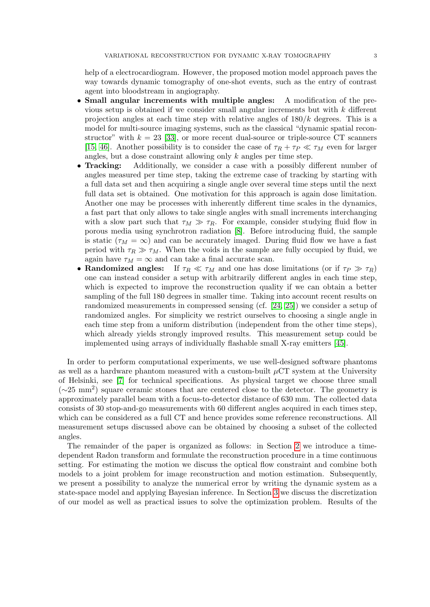help of a electrocardiogram. However, the proposed motion model approach paves the way towards dynamic tomography of one-shot events, such as the entry of contrast agent into bloodstream in angiography.

- Small angular increments with multiple angles: A modification of the previous setup is obtained if we consider small angular increments but with  $k$  different projection angles at each time step with relative angles of  $180/k$  degrees. This is a model for multi-source imaging systems, such as the classical "dynamic spatial reconstructor" with  $k = 23$  [\[33\]](#page-24-5), or more recent dual-source or triple-source CT scanners [\[15,](#page-23-11) [46\]](#page-24-6). Another possibility is to consider the case of  $\tau_R + \tau_P \ll \tau_M$  even for larger angles, but a dose constraint allowing only  $k$  angles per time step.
- **Tracking:** Additionally, we consider a case with a possibly different number of angles measured per time step, taking the extreme case of tracking by starting with a full data set and then acquiring a single angle over several time steps until the next full data set is obtained. One motivation for this approach is again dose limitation. Another one may be processes with inherently different time scales in the dynamics, a fast part that only allows to take single angles with small increments interchanging with a slow part such that  $\tau_M \gg \tau_R$ . For example, consider studying fluid flow in porous media using synchrotron radiation [\[8\]](#page-23-12). Before introducing fluid, the sample is static  $(\tau_M = \infty)$  and can be accurately imaged. During fluid flow we have a fast period with  $\tau_R \gg \tau_M$ . When the voids in the sample are fully occupied by fluid, we again have  $\tau_M = \infty$  and can take a final accurate scan.
- Randomized angles: If  $\tau_R \ll \tau_M$  and one has dose limitations (or if  $\tau_P \gg \tau_R$ ) one can instead consider a setup with arbitrarily different angles in each time step, which is expected to improve the reconstruction quality if we can obtain a better sampling of the full 180 degrees in smaller time. Taking into account recent results on randomized measurements in compressed sensing (cf. [\[24,](#page-23-13) [25\]](#page-23-14)) we consider a setup of randomized angles. For simplicity we restrict ourselves to choosing a single angle in each time step from a uniform distribution (independent from the other time steps), which already yields strongly improved results. This measurement setup could be implemented using arrays of individually flashable small X-ray emitters [\[45\]](#page-24-7).

In order to perform computational experiments, we use well-designed software phantoms as well as a hardware phantom measured with a custom-built  $\mu$ CT system at the University of Helsinki, see [\[7\]](#page-22-3) for technical specifications. As physical target we choose three small (∼25 mm<sup>2</sup> ) square ceramic stones that are centered close to the detector. The geometry is approximately parallel beam with a focus-to-detector distance of 630 mm. The collected data consists of 30 stop-and-go measurements with 60 different angles acquired in each times step, which can be considered as a full CT and hence provides some reference reconstructions. All measurement setups discussed above can be obtained by choosing a subset of the collected angles.

The remainder of the paper is organized as follows: in Section [2](#page-3-0) we introduce a timedependent Radon transform and formulate the reconstruction procedure in a time continuous setting. For estimating the motion we discuss the optical flow constraint and combine both models to a joint problem for image reconstruction and motion estimation. Subsequently, we present a possibility to analyze the numerical error by writing the dynamic system as a state-space model and applying Bayesian inference. In Section [3](#page-8-0) we discuss the discretization of our model as well as practical issues to solve the optimization problem. Results of the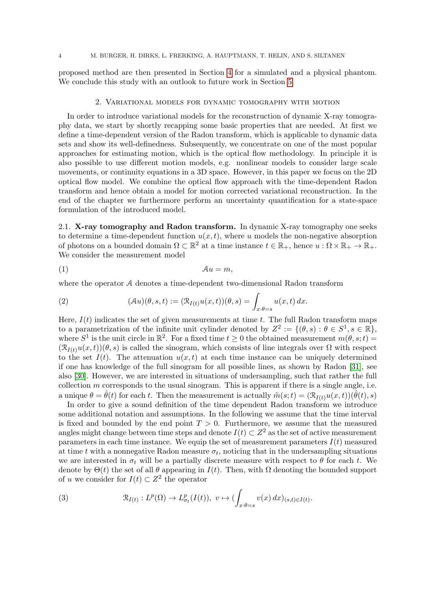proposed method are then presented in Section [4](#page-11-0) for a simulated and a physical phantom. We conclude this study with an outlook to future work in Section [5.](#page-20-0)

#### 2. Variational models for dynamic tomography with motion

<span id="page-3-0"></span>In order to introduce variational models for the reconstruction of dynamic X-ray tomography data, we start by shortly recapping some basic properties that are needed. At first we define a time-dependent version of the Radon transform, which is applicable to dynamic data sets and show its well-definedness. Subsequently, we concentrate on one of the most popular approaches for estimating motion, which is the optical flow methodology. In principle it is also possible to use different motion models, e.g. nonlinear models to consider large scale movements, or continuity equations in a 3D space. However, in this paper we focus on the 2D optical flow model. We combine the optical flow approach with the time-dependent Radon transform and hence obtain a model for motion corrected variational reconstruction. In the end of the chapter we furthermore perform an uncertainty quantification for a state-space formulation of the introduced model.

<span id="page-3-4"></span>2.1. X-ray tomography and Radon transform. In dynamic X-ray tomography one seeks to determine a time-dependent function  $u(x, t)$ , where u models the non-negative absorption of photons on a bounded domain  $\Omega \subset \mathbb{R}^2$  at a time instance  $t \in \mathbb{R}_+$ , hence  $u : \Omega \times \mathbb{R}_+ \to \mathbb{R}_+$ . We consider the measurement model

<span id="page-3-3"></span>(1) Au = m,

where the operator A denotes a time-dependent two-dimensional Radon transform

<span id="page-3-2"></span>(2) 
$$
(\mathcal{A}u)(\theta,s,t) := (\mathcal{R}_{I(t)}u(x,t))(\theta,s) = \int_{x \cdot \theta = s} u(x,t) dx.
$$

Here,  $I(t)$  indicates the set of given measurements at time t. The full Radon transform maps to a parametrization of the infinite unit cylinder denoted by  $Z^2 := \{(\theta, s) : \theta \in S^1, s \in \mathbb{R}\},\$ where  $S^1$  is the unit circle in  $\mathbb{R}^2$ . For a fixed time  $t \geq 0$  the obtained measurement  $m(\theta, s; t) =$  $(\mathcal{R}_{I(t)}u(x,t))(\theta,s)$  is called the sinogram, which consists of line integrals over  $\Omega$  with respect to the set  $I(t)$ . The attenuation  $u(x, t)$  at each time instance can be uniquely determined if one has knowledge of the full sinogram for all possible lines, as shown by Radon [\[31\]](#page-23-0), see also [\[30\]](#page-23-15). However, we are interested in situations of undersampling, such that rather the full collection  $m$  corresponds to the usual sinogram. This is apparent if there is a single angle, i.e. a unique  $\theta = \hat{\theta}(t)$  for each t. Then the measurement is actually  $\tilde{m}(s;t) = (\mathcal{R}_{I(t)}u(x,t))(\tilde{\theta}(t),s)$ 

In order to give a sound definition of the time dependent Radon transform we introduce some additional notation and assumptions. In the following we assume that the time interval is fixed and bounded by the end point  $T > 0$ . Furthermore, we assume that the measured angles might change between time steps and denote  $I(t) \subset Z^2$  as the set of active measurement parameters in each time instance. We equip the set of measurement parameters  $I(t)$  measured at time t with a nonnegative Radon measure  $\sigma_t$ , noticing that in the undersampling situations we are interested in  $\sigma_t$  will be a partially discrete measure with respect to  $\theta$  for each t. We denote by  $\Theta(t)$  the set of all  $\theta$  appearing in  $I(t)$ . Then, with  $\Omega$  denoting the bounded support of u we consider for  $I(t) \subset Z^2$  the operator

<span id="page-3-1"></span>(3) 
$$
\mathcal{R}_{I(t)}: L^p(\Omega) \to L^p_{\sigma_t}(I(t)), \ v \mapsto (\int_{x \cdot \theta = s} v(x) dx)_{(s,t) \in I(t)}.
$$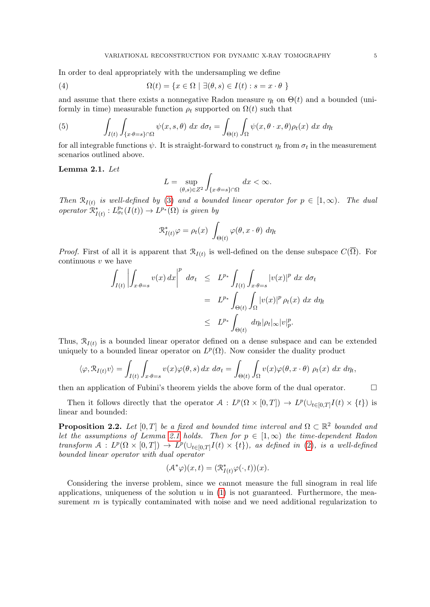In order to deal appropriately with the undersampling we define

(4) 
$$
\Omega(t) = \{x \in \Omega \mid \exists (\theta, s) \in I(t) : s = x \cdot \theta \}
$$

and assume that there exists a nonnegative Radon measure  $\eta_t$  on  $\Theta(t)$  and a bounded (uniformly in time) measurable function  $\rho_t$  supported on  $\Omega(t)$  such that

(5) 
$$
\int_{I(t)} \int_{\{x \cdot \theta = s\} \cap \Omega} \psi(x, s, \theta) dx d\sigma_t = \int_{\Theta(t)} \int_{\Omega} \psi(x, \theta \cdot x, \theta) \rho_t(x) dx d\eta_t
$$

for all integrable functions  $\psi$ . It is straight-forward to construct  $\eta_t$  from  $\sigma_t$  in the measurement scenarios outlined above.

## <span id="page-4-0"></span>Lemma 2.1. Let

$$
L = \sup_{(\theta,s)\in Z^2} \int_{\{x\cdot\theta=s\}\cap\Omega} dx < \infty.
$$

Then  $\mathcal{R}_{I(t)}$  is well-defined by [\(3\)](#page-3-1) and a bounded linear operator for  $p \in [1,\infty)$ . The dual operator  $\mathcal{R}^*_{I(t)}: L^{p_*}_{\sigma_t}(I(t)) \to L^{p_*}(\Omega)$  is given by

$$
\mathcal{R}_{I(t)}^* \varphi = \rho_t(x) \int_{\Theta(t)} \varphi(\theta, x \cdot \theta) d\eta_t
$$

*Proof.* First of all it is apparent that  $\mathcal{R}_{I(t)}$  is well-defined on the dense subspace  $C(\Omega)$ . For continuous  $v$  we have

$$
\int_{I(t)} \left| \int_{x \cdot \theta = s} v(x) dx \right|^p d\sigma_t \leq L^{p*} \int_{I(t)} \int_{x \cdot \theta = s} |v(x)|^p dx d\sigma_t
$$
  

$$
= L^{p*} \int_{\Theta(t)} \int_{\Omega} |v(x)|^p \rho_t(x) dx d\eta_t
$$
  

$$
\leq L^{p*} \int_{\Theta(t)} d\eta_t |\rho_t|_{\infty} |v|_p^p.
$$

Thus,  $\mathcal{R}_{I(t)}$  is a bounded linear operator defined on a dense subspace and can be extended uniquely to a bounded linear operator on  $L^p(\Omega)$ . Now consider the duality product

$$
\langle \varphi, \mathcal{R}_{I(t)} v \rangle = \int_{I(t)} \int_{x \cdot \theta = s} v(x) \varphi(\theta, s) dx d\sigma_t = \int_{\Theta(t)} \int_{\Omega} v(x) \varphi(\theta, x \cdot \theta) \rho_t(x) dx d\eta_t,
$$

then an application of Fubini's theorem yields the above form of the dual operator.  $\Box$ 

Then it follows directly that the operator  $\mathcal{A}: L^p(\Omega \times [0,T]) \to L^p(\cup_{t \in [0,T]} I(t) \times \{t\})$  is linear and bounded:

**Proposition 2.2.** Let  $[0, T]$  be a fixed and bounded time interval and  $\Omega \subset \mathbb{R}^2$  bounded and let the assumptions of Lemma [2.1](#page-4-0) holds. Then for  $p \in [1,\infty)$  the time-dependent Radon transform  $A: L^p(\Omega \times [0,T]) \to L^p(\cup_{t \in [0,T]} I(t) \times \{t\})$ , as defined in [\(2\)](#page-3-2), is a well-defined bounded linear operator with dual operator

$$
(\mathcal{A}^*\varphi)(x,t) = (\mathcal{R}^*_{I(t)}\varphi(\cdot,t))(x).
$$

Considering the inverse problem, since we cannot measure the full sinogram in real life applications, uniqueness of the solution  $u$  in  $(1)$  is not guaranteed. Furthermore, the measurement  $m$  is typically contaminated with noise and we need additional regularization to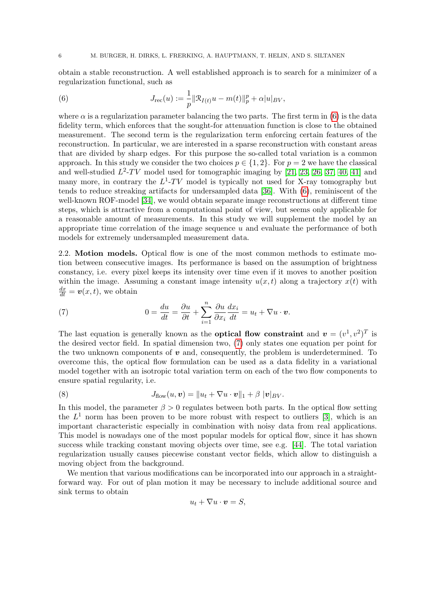obtain a stable reconstruction. A well established approach is to search for a minimizer of a regularization functional, such as

<span id="page-5-0"></span>(6) 
$$
J_{\text{rec}}(u) := \frac{1}{p} ||\mathcal{R}_{I(t)}u - m(t)||_p^p + \alpha |u|_{BV},
$$

where  $\alpha$  is a regularization parameter balancing the two parts. The first term in [\(6\)](#page-5-0) is the data fidelity term, which enforces that the sought-for attenuation function is close to the obtained measurement. The second term is the regularization term enforcing certain features of the reconstruction. In particular, we are interested in a sparse reconstruction with constant areas that are divided by sharp edges. For this purpose the so-called total variation is a common approach. In this study we consider the two choices  $p \in \{1,2\}$ . For  $p = 2$  we have the classical and well-studied  $L^2$ -TV model used for tomographic imaging by [\[21,](#page-23-16) [23,](#page-23-17) [26,](#page-23-18) [37,](#page-24-8) [40,](#page-24-9) [41\]](#page-24-10) and many more, in contrary the  $L^1$ -TV model is typically not used for X-ray tomography but tends to reduce streaking artifacts for undersampled data [\[36\]](#page-24-11). With [\(6\)](#page-5-0), reminiscent of the well-known ROF-model [\[34\]](#page-24-12), we would obtain separate image reconstructions at different time steps, which is attractive from a computational point of view, but seems only applicable for a reasonable amount of measurements. In this study we will supplement the model by an appropriate time correlation of the image sequence  $u$  and evaluate the performance of both models for extremely undersampled measurement data.

2.2. Motion models. Optical flow is one of the most common methods to estimate motion between consecutive images. Its performance is based on the assumption of brightness constancy, i.e. every pixel keeps its intensity over time even if it moves to another position within the image. Assuming a constant image intensity  $u(x, t)$  along a trajectory  $x(t)$  with  $\frac{dx}{dt} = \boldsymbol{v}(x,t)$ , we obtain

<span id="page-5-1"></span>(7) 
$$
0 = \frac{du}{dt} = \frac{\partial u}{\partial t} + \sum_{i=1}^{n} \frac{\partial u}{\partial x_i} \frac{dx_i}{dt} = u_t + \nabla u \cdot \boldsymbol{v}.
$$

The last equation is generally known as the **optical flow constraint** and  $v = (v^1, v^2)^T$  is the desired vector field. In spatial dimension two, [\(7\)](#page-5-1) only states one equation per point for the two unknown components of  $v$  and, consequently, the problem is underdetermined. To overcome this, the optical flow formulation can be used as a data fidelity in a variational model together with an isotropic total variation term on each of the two flow components to ensure spatial regularity, i.e.

<span id="page-5-2"></span>(8) 
$$
J_{flow}(u, v) = ||u_t + \nabla u \cdot v||_1 + \beta |v|_{BV}.
$$

In this model, the parameter  $\beta > 0$  regulates between both parts. In the optical flow setting the  $L^1$  norm has been proven to be more robust with respect to outliers [\[3\]](#page-22-4), which is an important characteristic especially in combination with noisy data from real applications. This model is nowadays one of the most popular models for optical flow, since it has shown success while tracking constant moving objects over time, see e.g. [\[44\]](#page-24-13). The total variation regularization usually causes piecewise constant vector fields, which allow to distinguish a moving object from the background.

We mention that various modifications can be incorporated into our approach in a straightforward way. For out of plan motion it may be necessary to include additional source and sink terms to obtain

$$
u_t + \nabla u \cdot \boldsymbol{v} = S,
$$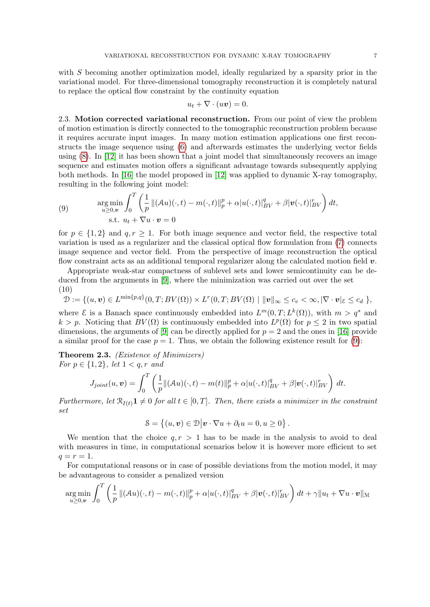with S becoming another optimization model, ideally regularized by a sparsity prior in the variational model. For three-dimensional tomography reconstruction it is completely natural to replace the optical flow constraint by the continuity equation

$$
u_t + \nabla \cdot (u\boldsymbol{v}) = 0.
$$

2.3. Motion corrected variational reconstruction. From our point of view the problem of motion estimation is directly connected to the tomographic reconstruction problem because it requires accurate input images. In many motion estimation applications one first reconstructs the image sequence using [\(6\)](#page-5-0) and afterwards estimates the underlying vector fields using  $(8)$ . In [\[12\]](#page-23-6) it has been shown that a joint model that simultaneously recovers an image sequence and estimates motion offers a significant advantage towards subsequently applying both methods. In [\[16\]](#page-23-9) the model proposed in [\[12\]](#page-23-6) was applied to dynamic X-ray tomography, resulting in the following joint model:

<span id="page-6-0"></span>(9) 
$$
\argmin_{u \geq 0,\boldsymbol{v}} \int_0^T \left( \frac{1}{p} \| (Au)(\cdot,t) - m(\cdot,t) \|_p^p + \alpha |u(\cdot,t)|_{BV}^q + \beta |\boldsymbol{v}(\cdot,t)|_{BV}^r \right) dt,
$$
  
s.t.  $u_t + \nabla u \cdot \boldsymbol{v} = 0$ 

for  $p \in \{1,2\}$  and  $q, r \geq 1$ . For both image sequence and vector field, the respective total variation is used as a regularizer and the classical optical flow formulation from [\(7\)](#page-5-1) connects image sequence and vector field. From the perspective of image reconstruction the optical flow constraint acts as an additional temporal regularizer along the calculated motion field  $v$ .

Appropriate weak-star compactness of sublevel sets and lower semicontinuity can be deduced from the arguments in [\[9\]](#page-23-19), where the minimization was carried out over the set (10)

$$
\mathcal{D} := \{ (u, v) \in L^{\min\{p,q\}}(0,T; BV(\Omega)) \times L^r(0,T; BV(\Omega) \mid ||v||_{\infty} \leq c_v < \infty, |\nabla \cdot v|_{\mathcal{E}} \leq c_d \} ,
$$

where  $\mathcal E$  is a Banach space continuously embedded into  $L^m(0,T;L^k(\Omega))$ , with  $m > q^*$  and  $k > p$ . Noticing that  $BV(\Omega)$  is continuously embedded into  $L^p(\Omega)$  for  $p \leq 2$  in two spatial dimensions, the arguments of [\[9\]](#page-23-19) can be directly applied for  $p = 2$  and the ones in [\[16\]](#page-23-9) provide a similar proof for the case  $p = 1$ . Thus, we obtain the following existence result for [\(9\)](#page-6-0):

Theorem 2.3. (Existence of Minimizers) For  $p \in \{1, 2\}$ , let  $1 < q, r$  and

$$
J_{joint}(u, \mathbf{v}) = \int_0^T \left( \frac{1}{p} || (\mathcal{A}u)(\cdot, t) - m(t) ||_p^p + \alpha |u(\cdot, t)|_{BV}^q + \beta |\mathbf{v}(\cdot, t)|_{BV}^r \right) dt.
$$

Furthermore, let  $\mathcal{R}_{I(t)}\mathbf{1} \neq 0$  for all  $t \in [0,T]$ . Then, there exists a minimizer in the constraint set

$$
\mathcal{S} = \{(u, v) \in \mathcal{D} | v \cdot \nabla u + \partial_t u = 0, u \ge 0 \}.
$$

We mention that the choice  $q, r > 1$  has to be made in the analysis to avoid to deal with measures in time, in computational scenarios below it is however more efficient to set  $q = r = 1.$ 

For computational reasons or in case of possible deviations from the motion model, it may be advantageous to consider a penalized version

$$
\underset{u\geq 0,v}{\arg\min} \int_0^T \left(\frac{1}{p} \|(\mathcal{A}u)(\cdot,t) - m(\cdot,t)\|_p^p + \alpha |u(\cdot,t)|_{BV}^q + \beta |\mathbf{v}(\cdot,t)|_{BV}^r\right) dt + \gamma \|u_t + \nabla u \cdot \mathbf{v}\|_{\mathcal{M}}
$$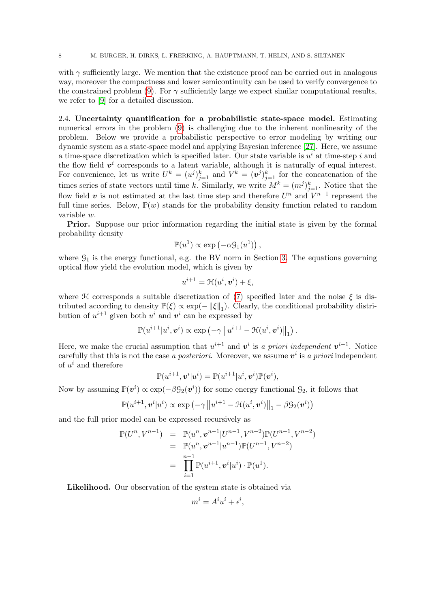with  $\gamma$  sufficiently large. We mention that the existence proof can be carried out in analogous way, moreover the compactness and lower semicontinuity can be used to verify convergence to the constrained problem [\(9\)](#page-6-0). For  $\gamma$  sufficiently large we expect similar computational results, we refer to [\[9\]](#page-23-19) for a detailed discussion.

2.4. Uncertainty quantification for a probabilistic state-space model. Estimating numerical errors in the problem [\(9\)](#page-6-0) is challenging due to the inherent nonlinearity of the problem. Below we provide a probabilistic perspective to error modeling by writing our dynamic system as a state-space model and applying Bayesian inference [\[27\]](#page-23-20). Here, we assume a time-space discretization which is specified later. Our state variable is  $u^i$  at time-step i and the flow field  $v^i$  corresponds to a latent variable, although it is naturally of equal interest. For convenience, let us write  $U^k = (u^j)_{j=1}^k$  and  $V^k = (v^j)_{j=1}^k$  for the concatenation of the times series of state vectors until time k. Similarly, we write  $M^k = (m^j)_{j=1}^k$ . Notice that the flow field v is not estimated at the last time step and therefore  $U^n$  and  $V^{n-1}$  represent the full time series. Below,  $\mathbb{P}(w)$  stands for the probability density function related to random variable w.

**Prior.** Suppose our prior information regarding the initial state is given by the formal probability density

$$
\mathbb{P}(u^1) \propto \exp(-\alpha \mathcal{G}_1(u^1)),
$$

where  $\mathcal{G}_1$  is the energy functional, e.g. the BV norm in Section [3.](#page-8-0) The equations governing optical flow yield the evolution model, which is given by

$$
u^{i+1} = \mathcal{H}(u^i, \mathbf{v}^i) + \xi,
$$

where H corresponds a suitable discretization of [\(7\)](#page-5-1) specified later and the noise  $\xi$  is distributed according to density  $\mathbb{P}(\xi) \propto \exp(-||\xi||_1)$ . Clearly, the conditional probability distribution of  $u^{i+1}$  given both  $u^i$  and  $v^i$  can be expressed by

$$
\mathbb{P}(u^{i+1}|u^i,\boldsymbol{v}^i)\propto \exp\left(-\gamma\left\|u^{i+1}-\mathcal{H}(u^i,\boldsymbol{v}^i)\right\|_1\right).
$$

Here, we make the crucial assumption that  $u^{i+1}$  and  $v^i$  is a priori independent  $v^{i-1}$ . Notice carefully that this is not the case a posteriori. Moreover, we assume  $v^i$  is a priori independent of  $u^i$  and therefore

$$
\mathbb{P}(u^{i+1}, \boldsymbol{v}^i|u^i) = \mathbb{P}(u^{i+1}|u^i, \boldsymbol{v}^i)\mathbb{P}(\boldsymbol{v}^i),
$$

Now by assuming  $\mathbb{P}(v^i) \propto \exp(-\beta \mathcal{G}_2(v^i))$  for some energy functional  $\mathcal{G}_2$ , it follows that

$$
\mathbb{P}(u^{i+1}, \boldsymbol{v}^i|u^i) \propto \exp\left(-\gamma \left\|u^{i+1}-\mathcal{H}(u^i, \boldsymbol{v}^i)\right\|_1 - \beta \mathcal{G}_2(\boldsymbol{v}^i)\right)
$$

and the full prior model can be expressed recursively as

$$
\mathbb{P}(U^n, V^{n-1}) = \mathbb{P}(u^n, \mathbf{v}^{n-1} | U^{n-1}, V^{n-2}) \mathbb{P}(U^{n-1}, V^{n-2})
$$
  
\n
$$
= \mathbb{P}(u^n, \mathbf{v}^{n-1} | u^{n-1}) \mathbb{P}(U^{n-1}, V^{n-2})
$$
  
\n
$$
= \prod_{i=1}^{n-1} \mathbb{P}(u^{i+1}, \mathbf{v}^i | u^i) \cdot \mathbb{P}(u^1).
$$

Likelihood. Our observation of the system state is obtained via

$$
m^i = A^i u^i + \epsilon^i,
$$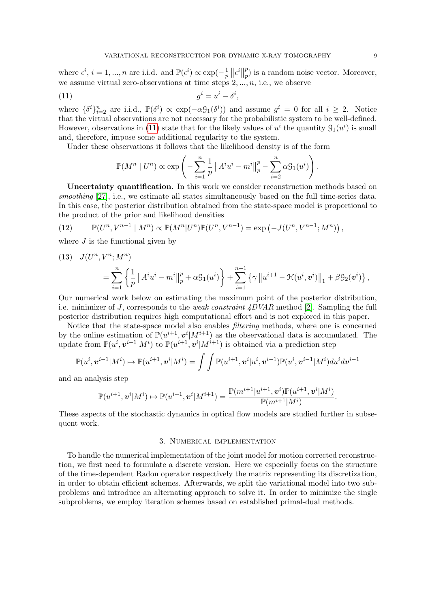where  $\epsilon^i$ ,  $i = 1, ..., n$  are i.i.d. and  $\mathbb{P}(\epsilon^i) \propto \exp(-\frac{1}{n})$  $\frac{1}{p}\left\Vert \epsilon^{i}\right\Vert$ p  $_p^p$ ) is a random noise vector. Moreover, we assume virtual zero-observations at time steps  $2, ..., n$ , i.e., we observe

$$
(11) \t\t gi = ui - \deltai,
$$

where  $\{\delta^i\}_{i=2}^n$  are i.i.d.,  $\mathbb{P}(\delta^i) \propto \exp(-\alpha \mathcal{G}_1(\delta^i))$  and assume  $g^i = 0$  for all  $i \geq 2$ . Notice that the virtual observations are not necessary for the probabilistic system to be well-defined. However, observations in [\(11\)](#page-8-1) state that for the likely values of  $u^i$  the quantity  $\mathcal{G}_1(u^i)$  is small and, therefore, impose some additional regularity to the system.

Under these observations it follows that the likelihood density is of the form

<span id="page-8-1"></span>
$$
\mathbb{P}(M^n \mid U^n) \propto \exp\left(-\sum_{i=1}^n \frac{1}{p} ||A^i u^i - m^i||_p^p - \sum_{i=2}^n \alpha \mathfrak{g}_1(u^i)\right).
$$

Uncertainty quantification. In this work we consider reconstruction methods based on smoothing [\[27\]](#page-23-20), i.e., we estimate all states simultaneously based on the full time-series data. In this case, the posterior distribution obtained from the state-space model is proportional to the product of the prior and likelihood densities

(12) 
$$
\mathbb{P}(U^n, V^{n-1} \mid M^n) \propto \mathbb{P}(M^n | U^n) \mathbb{P}(U^n, V^{n-1}) = \exp\left(-J(U^n, V^{n-1}; M^n)\right),
$$

where  $J$  is the functional given by

(13) 
$$
J(U^{n}, V^{n}; M^{n}) = \sum_{i=1}^{n} \left\{ \frac{1}{p} ||A^{i}u^{i} - m^{i}||_{p}^{p} + \alpha \mathcal{G}_{1}(u^{i}) \right\} + \sum_{i=1}^{n-1} \left\{ \gamma ||u^{i+1} - \mathcal{H}(u^{i}, v^{i})||_{1} + \beta \mathcal{G}_{2}(v^{i}) \right\},
$$

Our numerical work below on estimating the maximum point of the posterior distribution, i.e. minimizer of J, corresponds to the *weak constraint*  $\angle DVAR$  method [\[2\]](#page-22-5). Sampling the full posterior distribution requires high computational effort and is not explored in this paper.

Notice that the state-space model also enables *filtering* methods, where one is concerned by the online estimation of  $\mathbb{P}(u^{i+1}, v^i | M^{i+1})$  as the observational data is accumulated. The update from  $\mathbb{P}(u^i, v^{i-1}|M^i)$  to  $\mathbb{P}(u^{i+1}, v^i|M^{i+1})$  is obtained via a prediction step

$$
\mathbb{P}(u^i,\boldsymbol{v}^{i-1}|M^i)\mapsto \mathbb{P}(u^{i+1},\boldsymbol{v}^i|M^i)=\int\int \mathbb{P}(u^{i+1},\boldsymbol{v}^i|u^i,\boldsymbol{v}^{i-1})\mathbb{P}(u^i,\boldsymbol{v}^{i-1}|M^i)du^i d\boldsymbol{v}^{i-1}
$$

and an analysis step

$$
\mathbb{P}(u^{i+1},\boldsymbol{v}^i|M^i)\mapsto \mathbb{P}(u^{i+1},\boldsymbol{v}^i|M^{i+1})=\frac{\mathbb{P}(m^{i+1}|u^{i+1},\boldsymbol{v}^i)\mathbb{P}(u^{i+1},\boldsymbol{v}^i|M^i)}{\mathbb{P}(m^{i+1}|M^i)}.
$$

These aspects of the stochastic dynamics in optical flow models are studied further in subsequent work.

## 3. Numerical implementation

<span id="page-8-0"></span>To handle the numerical implementation of the joint model for motion corrected reconstruction, we first need to formulate a discrete version. Here we especially focus on the structure of the time-dependent Radon operator respectively the matrix representing its discretization, in order to obtain efficient schemes. Afterwards, we split the variational model into two subproblems and introduce an alternating approach to solve it. In order to minimize the single subproblems, we employ iteration schemes based on established primal-dual methods.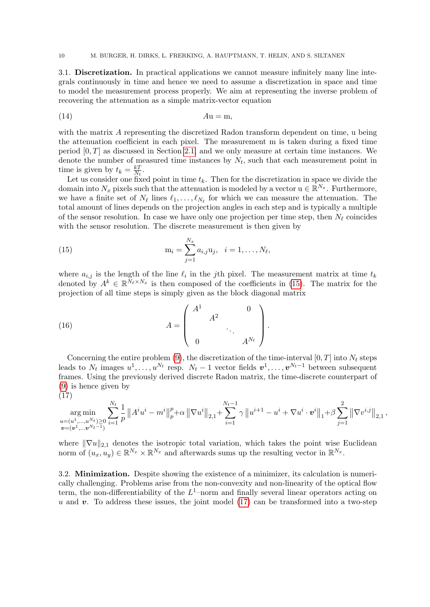3.1. Discretization. In practical applications we cannot measure infinitely many line integrals continuously in time and hence we need to assume a discretization in space and time to model the measurement process properly. We aim at representing the inverse problem of recovering the attenuation as a simple matrix-vector equation

$$
(14) \t\t\t Au = m,
$$

with the matrix A representing the discretized Radon transform dependent on time, u being the attenuation coefficient in each pixel. The measurement m is taken during a fixed time period  $[0, T]$  as discussed in Section [2.1,](#page-3-4) and we only measure at certain time instances. We denote the number of measured time instances by  $N_t$ , such that each measurement point in time is given by  $t_k = \frac{kT}{N_t}$  $\frac{kT}{N_t}$  .

Let us consider one fixed point in time  $t_k$ . Then for the discretization in space we divide the domain into  $N_x$  pixels such that the attenuation is modeled by a vector  $u \in \mathbb{R}^{N_x}$ . Furthermore, we have a finite set of  $N_{\ell}$  lines  $\ell_1, \ldots, \ell_{N_{\ell}}$  for which we can measure the attenuation. The total amount of lines depends on the projection angles in each step and is typically a multiple of the sensor resolution. In case we have only one projection per time step, then  $N_\ell$  coincides with the sensor resolution. The discrete measurement is then given by

<span id="page-9-0"></span>(15) 
$$
m_i = \sum_{j=1}^{N_x} a_{i,j} u_j, \quad i = 1, ..., N_\ell,
$$

where  $a_{i,j}$  is the length of the line  $\ell_i$  in the jth pixel. The measurement matrix at time  $t_k$ denoted by  $A^k \in \mathbb{R}^{N_{\ell} \times N_x}$  is then composed of the coefficients in [\(15\)](#page-9-0). The matrix for the projection of all time steps is simply given as the block diagonal matrix

<span id="page-9-2"></span>(16) 
$$
A = \begin{pmatrix} A^1 & 0 \\ & A^2 & \\ & & \ddots & \\ 0 & & & A^{N_t} \end{pmatrix}.
$$

Concerning the entire problem [\(9\)](#page-6-0), the discretization of the time-interval  $[0, T]$  into  $N_t$  steps leads to  $N_t$  images  $u^1, \ldots, u^{N_t}$  resp.  $N_t - 1$  vector fields  $\boldsymbol{v}^1, \ldots, \boldsymbol{v}^{N_t-1}$  between subsequent frames. Using the previously derived discrete Radon matrix, the time-discrete counterpart of [\(9\)](#page-6-0) is hence given by (17)

<span id="page-9-1"></span>
$$
\mathop{\arg\min}\limits_{\substack{u=(u^1,...,u^{N_t}) \geq 0 \\ \bm{v}=(\bm{v}^1,...\bm{v}^{N_t-1})}} \sum_{i=1}^{N_t} \frac{1}{p} \left\|A^i u^i - m^i \right\|_p^p + \alpha \left\|\nabla u^i \right\|_{2,1} + \sum_{i=1}^{N_t-1} \gamma \left\|u^{i+1} - u^i + \nabla u^i \cdot \bm{v}^i \right\|_1 + \beta \sum_{j=1}^2 \left\|\nabla v^{i,j} \right\|_{2,1},
$$

where  $\|\nabla u\|_{2,1}$  denotes the isotropic total variation, which takes the point wise Euclidean norm of  $(u_x, u_y) \in \mathbb{R}^{N_x} \times \mathbb{R}^{N_x}$  and afterwards sums up the resulting vector in  $\mathbb{R}^{N_x}$ .

3.2. Minimization. Despite showing the existence of a minimizer, its calculation is numerically challenging. Problems arise from the non-convexity and non-linearity of the optical flow term, the non-differentiability of the  $L^1$ -norm and finally several linear operators acting on u and v. To address these issues, the joint model  $(17)$  can be transformed into a two-step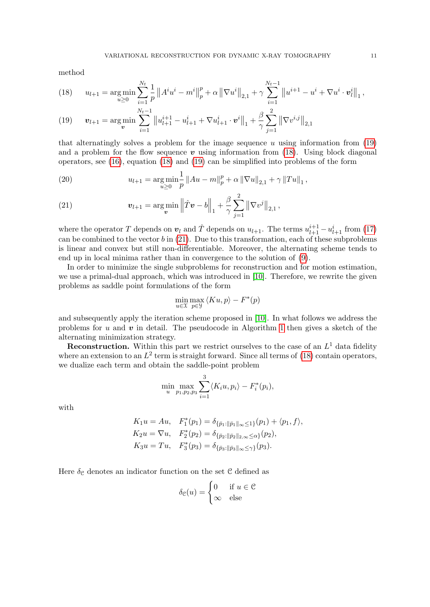method

<span id="page-10-1"></span>(18) 
$$
u_{l+1} = \underset{u \geq 0}{\arg \min} \sum_{i=1}^{N_t} \frac{1}{p} \|A^i u^i - m^i\|_p^p + \alpha \|\nabla u^i\|_{2,1} + \gamma \sum_{i=1}^{N_t-1} \|u^{i+1} - u^i + \nabla u^i \cdot \mathbf{v}_l^i\|_1,
$$

<span id="page-10-0"></span>(19) 
$$
\mathbf{v}_{l+1} = \argmin_{\mathbf{v}} \sum_{i=1}^{N_t-1} ||u_{l+1}^{i+1} - u_{l+1}^i + \nabla u_{l+1}^i \cdot \mathbf{v}^i||_1 + \frac{\beta}{\gamma} \sum_{j=1}^2 ||\nabla v^{i,j}||_{2,1}
$$

that alternatingly solves a problem for the image sequence u using information from  $(19)$ and a problem for the flow sequence  $\boldsymbol{v}$  using information from [\(18\)](#page-10-1). Using block diagonal operators, see [\(16\)](#page-9-2), equation [\(18\)](#page-10-1) and [\(19\)](#page-10-0) can be simplified into problems of the form

(20) 
$$
u_{l+1} = \underset{u \ge 0}{\arg \min} \frac{1}{p} ||Au - m||_p^p + \alpha ||\nabla u||_{2,1} + \gamma ||Tu||_1,
$$

<span id="page-10-2"></span>(21) 
$$
\mathbf{v}_{l+1} = \argmin_{\mathbf{v}} \left\| \hat{T} \mathbf{v} - b \right\|_1 + \frac{\beta}{\gamma} \sum_{j=1}^2 \left\| \nabla v^j \right\|_{2,1},
$$

where the operator T depends on  $v_l$  and  $\hat{T}$  depends on  $u_{l+1}$ . The terms  $u_{l+1}^{i+1} - u_{l+1}^i$  from [\(17\)](#page-9-1) can be combined to the vector  $b$  in  $(21)$ . Due to this transformation, each of these subproblems is linear and convex but still non-differentiable. Moreover, the alternating scheme tends to end up in local minima rather than in convergence to the solution of [\(9\)](#page-6-0).

In order to minimize the single subproblems for reconstruction and for motion estimation, we use a primal-dual approach, which was introduced in [\[10\]](#page-23-21). Therefore, we rewrite the given problems as saddle point formulations of the form

$$
\min_{u \in \mathcal{X}} \max_{p \in \mathcal{Y}} \langle K u, p \rangle - F^*(p)
$$

and subsequently apply the iteration scheme proposed in [\[10\]](#page-23-21). In what follows we address the problems for u and v in detail. The pseudocode in Algorithm [1](#page-12-0) then gives a sketch of the alternating minimization strategy.

**Reconstruction.** Within this part we restrict ourselves to the case of an  $L^1$  data fidelity where an extension to an  $L^2$  term is straight forward. Since all terms of [\(18\)](#page-10-1) contain operators, we dualize each term and obtain the saddle-point problem

$$
\min_{u} \max_{p_1, p_2, p_3} \sum_{i=1}^{3} \langle K_i u, p_i \rangle - F_i^*(p_i),
$$

with

$$
K_1 u = Au, \quad F_1^*(p_1) = \delta_{\{\bar{p}_1:\|\bar{p}_1\|_{\infty}\leq 1\}}(p_1) + \langle p_1, f \rangle,
$$
  
\n
$$
K_2 u = \nabla u, \quad F_2^*(p_2) = \delta_{\{\bar{p}_2:\|\bar{p}_2\|_{2,\infty}\leq \alpha\}}(p_2),
$$
  
\n
$$
K_3 u = Tu, \quad F_3^*(p_3) = \delta_{\{\bar{p}_3:\|\bar{p}_3\|_{\infty}\leq \gamma\}}(p_3).
$$

Here  $\delta_{\mathcal{C}}$  denotes an indicator function on the set  $\mathcal{C}$  defined as

$$
\delta_{\mathcal{C}}(u) = \begin{cases} 0 & \text{if } u \in \mathcal{C} \\ \infty & \text{else} \end{cases}
$$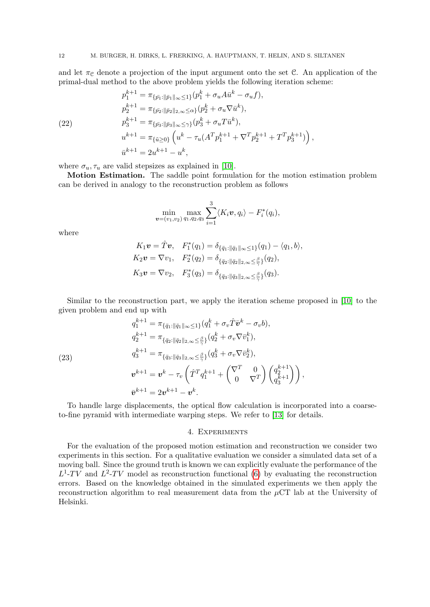and let  $\pi_{\mathcal{C}}$  denote a projection of the input argument onto the set C. An application of the primal-dual method to the above problem yields the following iteration scheme:

<span id="page-11-1"></span>
$$
p_1^{k+1} = \pi_{\{\bar{p_1}:\|\bar{p_1}\|_{\infty}\leq 1\}}(p_1^k + \sigma_u A \bar{u}^k - \sigma_u f),
$$
  
\n
$$
p_2^{k+1} = \pi_{\{\bar{p_2}:\|\bar{p_2}\|_{2,\infty}\leq \alpha\}}(p_2^k + \sigma_u \nabla \bar{u}^k),
$$
  
\n(22)  
\n
$$
p_3^{k+1} = \pi_{\{\bar{p_3}:\|\bar{p_3}\|_{\infty}\leq \gamma\}}(p_3^k + \sigma_u T \bar{u}^k),
$$
  
\n
$$
u^{k+1} = \pi_{\{\tilde{u}\geq 0\}}\left(u^k - \tau_u (A^T p_1^{k+1} + \nabla^T p_2^{k+1} + T^T p_3^{k+1})\right),
$$
  
\n
$$
\bar{u}^{k+1} = 2u^{k+1} - u^k,
$$

where  $\sigma_u, \tau_u$  are valid stepsizes as explained in [\[10\]](#page-23-21).

Motion Estimation. The saddle point formulation for the motion estimation problem can be derived in analogy to the reconstruction problem as follows

$$
\min_{\bm{v}=(v_1,v_2)}\max_{q_1,q_2,q_3}\sum_{i=1}^3\langle K_i\bm{v},q_i\rangle-F_i^*(q_i),
$$

where

$$
K_1 \mathbf{v} = \hat{T} \mathbf{v}, \quad F_1^*(q_1) = \delta_{\{\bar{q}_1: \|\bar{q}_1\|_{\infty} \le 1\}}(q_1) - \langle q_1, b \rangle,
$$
  
\n
$$
K_2 \mathbf{v} = \nabla v_1, \quad F_2^*(q_2) = \delta_{\{\bar{q}_2: \|\bar{q}_2\|_{2,\infty} \le \frac{\beta}{\gamma}\}}(q_2),
$$
  
\n
$$
K_3 \mathbf{v} = \nabla v_2, \quad F_3^*(q_3) = \delta_{\{\bar{q}_3: \|\bar{q}_3\|_{2,\infty} \le \frac{\beta}{\gamma}\}}(q_3).
$$

Similar to the reconstruction part, we apply the iteration scheme proposed in [\[10\]](#page-23-21) to the given problem and end up with

<span id="page-11-2"></span>(23)  
\n
$$
q_1^{k+1} = \pi_{\{\bar{q}_1:\|\bar{q}_1\|_{\infty}\leq 1\}}(q_1^k + \sigma_v \hat{T} \bar{v}^k - \sigma_v b),
$$
\n
$$
q_2^{k+1} = \pi_{\{\bar{q}_2:\|\bar{q}_2\|_{2,\infty}\leq \frac{\beta}{\gamma}\}}(q_2^k + \sigma_v \nabla \bar{v}_1^k),
$$
\n
$$
q_3^{k+1} = \pi_{\{\bar{q}_3:\|\bar{q}_3\|_{2,\infty}\leq \frac{\beta}{\gamma}\}}(q_3^k + \sigma_v \nabla \bar{v}_2^k),
$$
\n
$$
v^{k+1} = v^k - \tau_v \left(\hat{T}^T q_1^{k+1} + \begin{pmatrix} \nabla^T & 0 \\ 0 & \nabla^T \end{pmatrix} \begin{pmatrix} q_2^{k+1} \\ q_3^{k+1} \end{pmatrix}\right),
$$
\n
$$
\bar{v}^{k+1} = 2v^{k+1} - v^k.
$$

To handle large displacements, the optical flow calculation is incorporated into a coarseto-fine pyramid with intermediate warping steps. We refer to [\[13\]](#page-23-7) for details.

## 4. Experiments

<span id="page-11-0"></span>For the evaluation of the proposed motion estimation and reconstruction we consider two experiments in this section. For a qualitative evaluation we consider a simulated data set of a moving ball. Since the ground truth is known we can explicitly evaluate the performance of the  $L^1$ -TV and  $L^2$ -TV model as reconstruction functional [\(6\)](#page-5-0) by evaluating the reconstruction errors. Based on the knowledge obtained in the simulated experiments we then apply the reconstruction algorithm to real measurement data from the  $\mu$ CT lab at the University of Helsinki.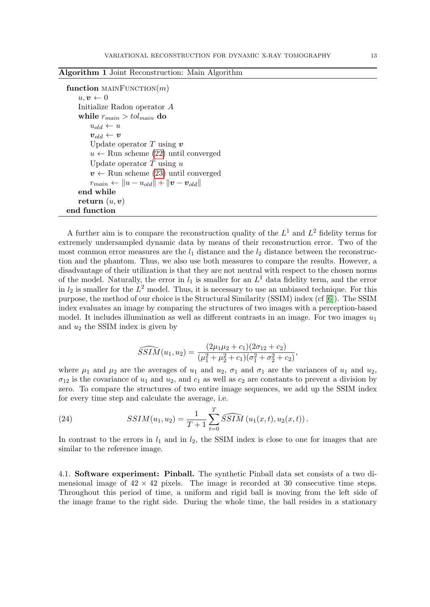|  |  |  |  | <b>Algorithm 1 Joint Reconstruction: Main Algorithm</b> |  |  |  |  |  |  |
|--|--|--|--|---------------------------------------------------------|--|--|--|--|--|--|
|--|--|--|--|---------------------------------------------------------|--|--|--|--|--|--|

```
function MAINFUNCTION(m)u, v \leftarrow 0Initialize Radon operator A
 while r_{main} > tol_{main} do
     u_{old} \leftarrow u\boldsymbol{v}_{old} \leftarrow \boldsymbol{v}Update operator T using vu \leftarrow(22) until converged
     Update operator \ddot{T} using u
     v \leftarrow(23) until converged
     r_{main} \leftarrow ||u - u_{old}|| + ||v - v_{old}||end while
return (u, v)end function
```
A further aim is to compare the reconstruction quality of the  $L^1$  and  $L^2$  fidelity terms for extremely undersampled dynamic data by means of their reconstruction error. Two of the most common error measures are the  $l_1$  distance and the  $l_2$  distance between the reconstruction and the phantom. Thus, we also use both measures to compare the results. However, a disadvantage of their utilization is that they are not neutral with respect to the chosen norms of the model. Naturally, the error in  $l_1$  is smaller for an  $L^1$  data fidelity term, and the error in  $l_2$  is smaller for the  $L^2$  model. Thus, it is necessary to use an unbiased technique. For this purpose, the method of our choice is the Structural Similarity (SSIM) index (cf [\[6\]](#page-22-6)). The SSIM index evaluates an image by comparing the structures of two images with a perception-based model. It includes illumination as well as different contrasts in an image. For two images  $u_1$ and  $u_2$  the SSIM index is given by

$$
\widehat{SSIM}(u_1, u_2) = \frac{(2\mu_1\mu_2 + c_1)(2\sigma_{12} + c_2)}{(\mu_1^2 + \mu_2^2 + c_1)(\sigma_1^2 + \sigma_2^2 + c_2)},
$$

where  $\mu_1$  and  $\mu_2$  are the averages of  $u_1$  and  $u_2$ ,  $\sigma_1$  and  $\sigma_1$  are the variances of  $u_1$  and  $u_2$ ,  $\sigma_{12}$  is the covariance of  $u_1$  and  $u_2$ , and  $c_1$  as well as  $c_2$  are constants to prevent a division by zero. To compare the structures of two entire image sequences, we add up the SSIM index for every time step and calculate the average, i.e.

<span id="page-12-1"></span>(24) 
$$
SSIM(u_1, u_2) = \frac{1}{T+1} \sum_{t=0}^{T} \widehat{SSIM}(u_1(x, t), u_2(x, t)).
$$

In contrast to the errors in  $l_1$  and in  $l_2$ , the SSIM index is close to one for images that are similar to the reference image.

4.1. Software experiment: Pinball. The synthetic Pinball data set consists of a two dimensional image of  $42 \times 42$  pixels. The image is recorded at 30 consecutive time steps. Throughout this period of time, a uniform and rigid ball is moving from the left side of the image frame to the right side. During the whole time, the ball resides in a stationary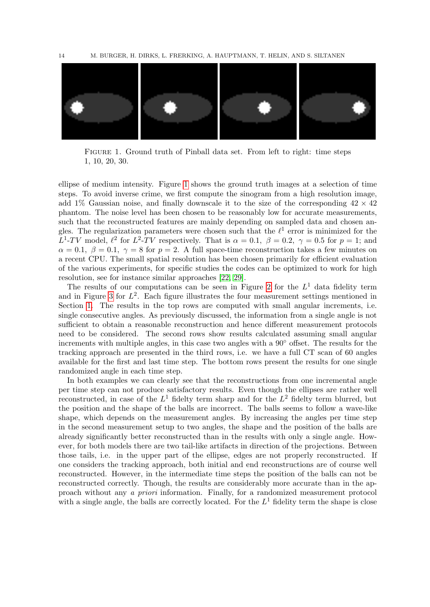

Figure 1. Ground truth of Pinball data set. From left to right: time steps 1, 10, 20, 30.

<span id="page-13-0"></span>ellipse of medium intensity. Figure [1](#page-13-0) shows the ground truth images at a selection of time steps. To avoid inverse crime, we first compute the sinogram from a high resolution image, add 1% Gaussian noise, and finally downscale it to the size of the corresponding  $42 \times 42$ phantom. The noise level has been chosen to be reasonably low for accurate measurements, such that the reconstructed features are mainly depending on sampled data and chosen angles. The regularization parameters were chosen such that the  $\ell^1$  error is minimized for the  $L^1$ -TV model,  $\ell^2$  for  $L^2$ -TV respectively. That is  $\alpha = 0.1, \ \beta = 0.2, \ \gamma = 0.5$  for  $p = 1$ ; and  $\alpha = 0.1, \beta = 0.1, \gamma = 8$  for  $p = 2$ . A full space-time reconstruction takes a few minutes on a recent CPU. The small spatial resolution has been chosen primarily for efficient evaluation of the various experiments, for specific studies the codes can be optimized to work for high resolution, see for instance similar approaches [\[22,](#page-23-10) [29\]](#page-23-22).

The results of our computations can be seen in Figure [2](#page-14-0) for the  $L<sup>1</sup>$  data fidelity term and in Figure [3](#page-15-0) for  $L^2$ . Each figure illustrates the four measurement settings mentioned in Section [1.](#page-0-0) The results in the top rows are computed with small angular increments, i.e. single consecutive angles. As previously discussed, the information from a single angle is not sufficient to obtain a reasonable reconstruction and hence different measurement protocols need to be considered. The second rows show results calculated assuming small angular increments with multiple angles, in this case two angles with a 90◦ offset. The results for the tracking approach are presented in the third rows, i.e. we have a full CT scan of 60 angles available for the first and last time step. The bottom rows present the results for one single randomized angle in each time step.

In both examples we can clearly see that the reconstructions from one incremental angle per time step can not produce satisfactory results. Even though the ellipses are rather well reconstructed, in case of the  $L^1$  fidelty term sharp and for the  $L^2$  fidelty term blurred, but the position and the shape of the balls are incorrect. The balls seems to follow a wave-like shape, which depends on the measurement angles. By increasing the angles per time step in the second measurement setup to two angles, the shape and the position of the balls are already significantly better reconstructed than in the results with only a single angle. However, for both models there are two tail-like artifacts in direction of the projections. Between those tails, i.e. in the upper part of the ellipse, edges are not properly reconstructed. If one considers the tracking approach, both initial and end reconstructions are of course well reconstructed. However, in the intermediate time steps the position of the balls can not be reconstructed correctly. Though, the results are considerably more accurate than in the approach without any a priori information. Finally, for a randomized measurement protocol with a single angle, the balls are correctly located. For the  $L^1$  fidelity term the shape is close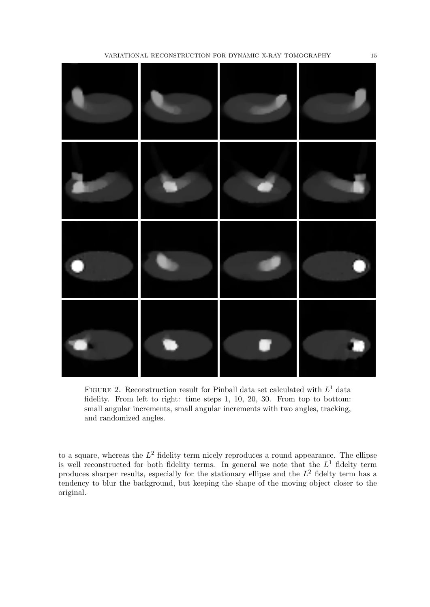

<span id="page-14-0"></span>FIGURE 2. Reconstruction result for Pinball data set calculated with  $L^1$  data fidelity. From left to right: time steps 1, 10, 20, 30. From top to bottom: small angular increments, small angular increments with two angles, tracking, and randomized angles.

to a square, whereas the  $L^2$  fidelity term nicely reproduces a round appearance. The ellipse is well reconstructed for both fidelity terms. In general we note that the  $L<sup>1</sup>$  fidelty term produces sharper results, especially for the stationary ellipse and the  $L^2$  fidelty term has a tendency to blur the background, but keeping the shape of the moving object closer to the original.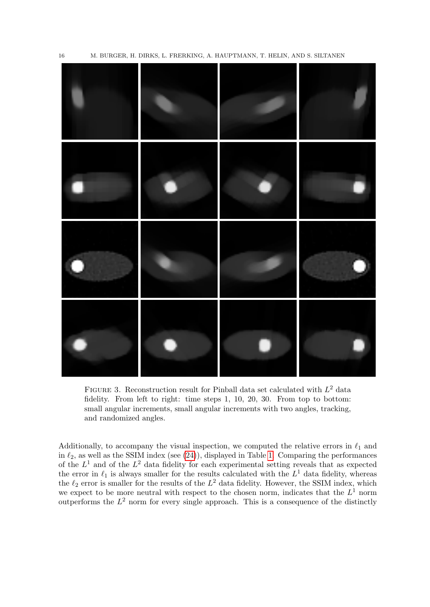

<span id="page-15-0"></span>FIGURE 3. Reconstruction result for Pinball data set calculated with  $L^2$  data fidelity. From left to right: time steps 1, 10, 20, 30. From top to bottom: small angular increments, small angular increments with two angles, tracking, and randomized angles.

Additionally, to accompany the visual inspection, we computed the relative errors in  $\ell_1$  and in  $\ell_2$ , as well as the SSIM index (see [\(24\)](#page-12-1)), displayed in Table [1.](#page-16-0) Comparing the performances of the  $L^1$  and of the  $L^2$  data fidelity for each experimental setting reveals that as expected the error in  $\ell_1$  is always smaller for the results calculated with the  $L^1$  data fidelity, whereas the  $\ell_2$  error is smaller for the results of the  $L^2$  data fidelity. However, the SSIM index, which we expect to be more neutral with respect to the chosen norm, indicates that the  $L^1$  norm outperforms the  $L^2$  norm for every single approach. This is a consequence of the distinctly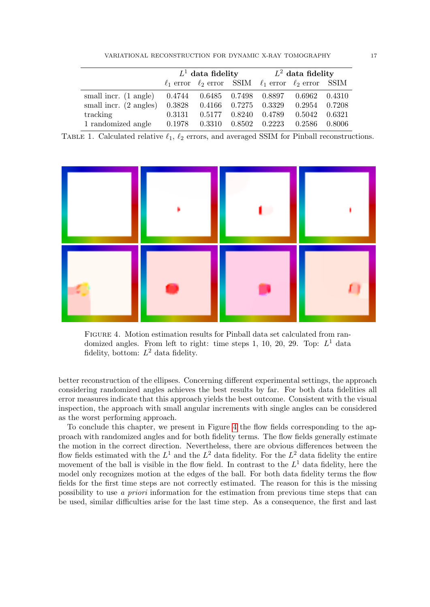<span id="page-16-0"></span>VARIATIONAL RECONSTRUCTION FOR DYNAMIC X-RAY TOMOGRAPHY 17

|                                  |        |                                |        | $L^1$ data fidelity $L^2$ data fidelity                               |        |        |  |  |
|----------------------------------|--------|--------------------------------|--------|-----------------------------------------------------------------------|--------|--------|--|--|
|                                  |        |                                |        | $\ell_1$ error $\ell_2$ error SSIM $\ell_1$ error $\ell_2$ error SSIM |        |        |  |  |
| small incr. (1 angle)            |        |                                |        | $0.4744$ $0.6485$ $0.7498$ $0.8897$ $0.6962$                          |        | 0.4310 |  |  |
| small incr. $(2 \text{ angles})$ |        | 0.3828  0.4166  0.7275  0.3329 |        |                                                                       | 0.2954 | 0.7208 |  |  |
| tracking                         | 0.3131 | 0.5177                         | 0.8240 | 0.4789                                                                | 0.5042 | 0.6321 |  |  |
| 1 randomized angle               | 0.1978 | 0.3310                         | 0.8502 | 0.2223                                                                | 0.2586 | 0.8006 |  |  |

TABLE 1. Calculated relative  $\ell_1$ ,  $\ell_2$  errors, and averaged SSIM for Pinball reconstructions.



<span id="page-16-1"></span>Figure 4. Motion estimation results for Pinball data set calculated from randomized angles. From left to right: time steps 1, 10, 20, 29. Top:  $L^1$  data fidelity, bottom:  $L^2$  data fidelity.

better reconstruction of the ellipses. Concerning different experimental settings, the approach considering randomized angles achieves the best results by far. For both data fidelities all error measures indicate that this approach yields the best outcome. Consistent with the visual inspection, the approach with small angular increments with single angles can be considered as the worst performing approach.

To conclude this chapter, we present in Figure [4](#page-16-1) the flow fields corresponding to the approach with randomized angles and for both fidelity terms. The flow fields generally estimate the motion in the correct direction. Nevertheless, there are obvious differences between the flow fields estimated with the  $L^1$  and the  $L^2$  data fidelity. For the  $L^2$  data fidelity the entire movement of the ball is visible in the flow field. In contrast to the  $L<sup>1</sup>$  data fidelity, here the model only recognizes motion at the edges of the ball. For both data fidelity terms the flow fields for the first time steps are not correctly estimated. The reason for this is the missing possibility to use a priori information for the estimation from previous time steps that can be used, similar difficulties arise for the last time step. As a consequence, the first and last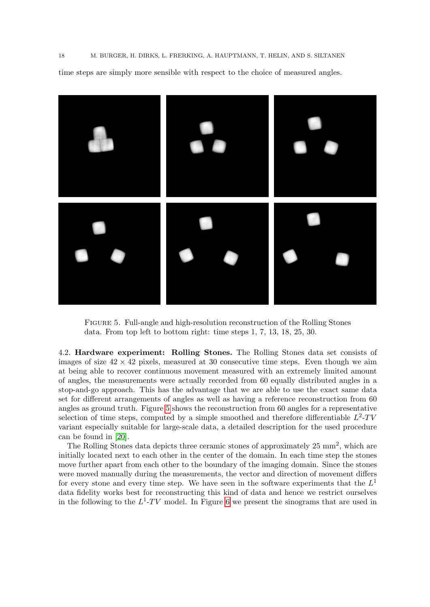<span id="page-17-0"></span>Figure 5. Full-angle and high-resolution reconstruction of the Rolling Stones data. From top left to bottom right: time steps 1, 7, 13, 18, 25, 30.

4.2. Hardware experiment: Rolling Stones. The Rolling Stones data set consists of images of size  $42 \times 42$  pixels, measured at 30 consecutive time steps. Even though we aim at being able to recover continuous movement measured with an extremely limited amount of angles, the measurements were actually recorded from 60 equally distributed angles in a stop-and-go approach. This has the advantage that we are able to use the exact same data set for different arrangements of angles as well as having a reference reconstruction from 60 angles as ground truth. Figure [5](#page-17-0) shows the reconstruction from 60 angles for a representative selection of time steps, computed by a simple smoothed and therefore differentiable  $L^2$ -TV variant especially suitable for large-scale data, a detailed description for the used procedure can be found in [\[20\]](#page-23-23).

The Rolling Stones data depicts three ceramic stones of approximately 25 mm<sup>2</sup>, which are initially located next to each other in the center of the domain. In each time step the stones move further apart from each other to the boundary of the imaging domain. Since the stones were moved manually during the measurements, the vector and direction of movement differs for every stone and every time step. We have seen in the software experiments that the  $L^1$ data fidelity works best for reconstructing this kind of data and hence we restrict ourselves in the following to the  $L^1$ -TV model. In Figure [6](#page-18-0) we present the sinograms that are used in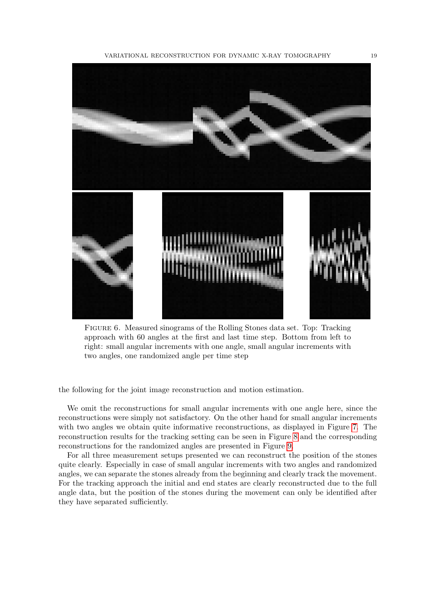

Figure 6. Measured sinograms of the Rolling Stones data set. Top: Tracking approach with 60 angles at the first and last time step. Bottom from left to right: small angular increments with one angle, small angular increments with two angles, one randomized angle per time step

<span id="page-18-0"></span>the following for the joint image reconstruction and motion estimation.

We omit the reconstructions for small angular increments with one angle here, since the reconstructions were simply not satisfactory. On the other hand for small angular increments with two angles we obtain quite informative reconstructions, as displayed in Figure [7.](#page-19-0) The reconstruction results for the tracking setting can be seen in Figure [8](#page-20-1) and the corresponding reconstructions for the randomized angles are presented in Figure [9.](#page-21-0)

For all three measurement setups presented we can reconstruct the position of the stones quite clearly. Especially in case of small angular increments with two angles and randomized angles, we can separate the stones already from the beginning and clearly track the movement. For the tracking approach the initial and end states are clearly reconstructed due to the full angle data, but the position of the stones during the movement can only be identified after they have separated sufficiently.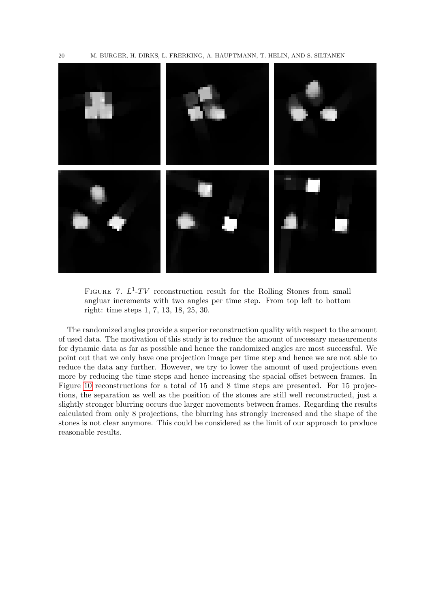20 M. BURGER, H. DIRKS, L. FRERKING, A. HAUPTMANN, T. HELIN, AND S. SILTANEN



<span id="page-19-0"></span>FIGURE 7.  $L^1$ -TV reconstruction result for the Rolling Stones from small angluar increments with two angles per time step. From top left to bottom right: time steps 1, 7, 13, 18, 25, 30.

The randomized angles provide a superior reconstruction quality with respect to the amount of used data. The motivation of this study is to reduce the amount of necessary measurements for dynamic data as far as possible and hence the randomized angles are most successful. We point out that we only have one projection image per time step and hence we are not able to reduce the data any further. However, we try to lower the amount of used projections even more by reducing the time steps and hence increasing the spacial offset between frames. In Figure [10](#page-22-7) reconstructions for a total of 15 and 8 time steps are presented. For 15 projections, the separation as well as the position of the stones are still well reconstructed, just a slightly stronger blurring occurs due larger movements between frames. Regarding the results calculated from only 8 projections, the blurring has strongly increased and the shape of the stones is not clear anymore. This could be considered as the limit of our approach to produce reasonable results.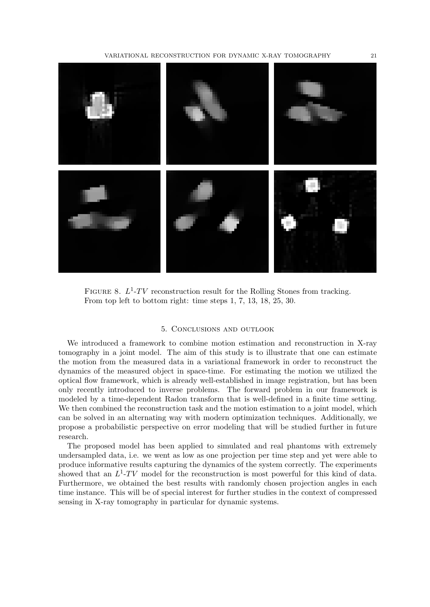VARIATIONAL RECONSTRUCTION FOR DYNAMIC X-RAY TOMOGRAPHY 21



FIGURE 8.  $L^1$ -TV reconstruction result for the Rolling Stones from tracking. From top left to bottom right: time steps 1, 7, 13, 18, 25, 30.

#### <span id="page-20-1"></span>5. Conclusions and outlook

<span id="page-20-0"></span>We introduced a framework to combine motion estimation and reconstruction in X-ray tomography in a joint model. The aim of this study is to illustrate that one can estimate the motion from the measured data in a variational framework in order to reconstruct the dynamics of the measured object in space-time. For estimating the motion we utilized the optical flow framework, which is already well-established in image registration, but has been only recently introduced to inverse problems. The forward problem in our framework is modeled by a time-dependent Radon transform that is well-defined in a finite time setting. We then combined the reconstruction task and the motion estimation to a joint model, which can be solved in an alternating way with modern optimization techniques. Additionally, we propose a probabilistic perspective on error modeling that will be studied further in future research.

The proposed model has been applied to simulated and real phantoms with extremely undersampled data, i.e. we went as low as one projection per time step and yet were able to produce informative results capturing the dynamics of the system correctly. The experiments showed that an  $L^1$ -TV model for the reconstruction is most powerful for this kind of data. Furthermore, we obtained the best results with randomly chosen projection angles in each time instance. This will be of special interest for further studies in the context of compressed sensing in X-ray tomography in particular for dynamic systems.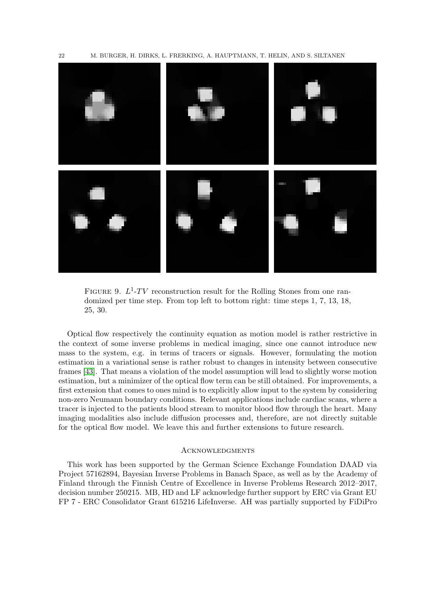

<span id="page-21-0"></span>FIGURE 9.  $L^1$ -TV reconstruction result for the Rolling Stones from one randomized per time step. From top left to bottom right: time steps 1, 7, 13, 18, 25, 30.

Optical flow respectively the continuity equation as motion model is rather restrictive in the context of some inverse problems in medical imaging, since one cannot introduce new mass to the system, e.g. in terms of tracers or signals. However, formulating the motion estimation in a variational sense is rather robust to changes in intensity between consecutive frames [\[43\]](#page-24-14). That means a violation of the model assumption will lead to slightly worse motion estimation, but a minimizer of the optical flow term can be still obtained. For improvements, a first extension that comes to ones mind is to explicitly allow input to the system by considering non-zero Neumann boundary conditions. Relevant applications include cardiac scans, where a tracer is injected to the patients blood stream to monitor blood flow through the heart. Many imaging modalities also include diffusion processes and, therefore, are not directly suitable for the optical flow model. We leave this and further extensions to future research.

### **ACKNOWLEDGMENTS**

This work has been supported by the German Science Exchange Foundation DAAD via Project 57162894, Bayesian Inverse Problems in Banach Space, as well as by the Academy of Finland through the Finnish Centre of Excellence in Inverse Problems Research 2012–2017, decision number 250215. MB, HD and LF acknowledge further support by ERC via Grant EU FP 7 - ERC Consolidator Grant 615216 LifeInverse. AH was partially supported by FiDiPro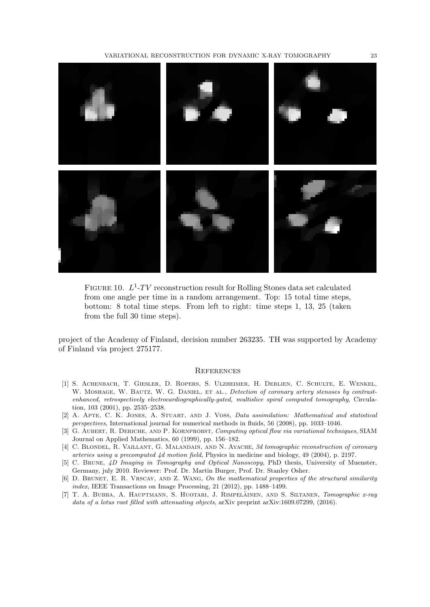

FIGURE 10.  $L^1$ -TV reconstruction result for Rolling Stones data set calculated from one angle per time in a random arrangement. Top: 15 total time steps, bottom: 8 total time steps. From left to right: time steps 1, 13, 25 (taken from the full 30 time steps).

project of the Academy of Finland, decision number 263235. TH was supported by Academy of Finland via project 275177.

#### <span id="page-22-7"></span>**REFERENCES**

- <span id="page-22-0"></span>[1] S. Achenbach, T. Giesler, D. Ropers, S. Ulzheimer, H. Derlien, C. Schulte, E. Wenkel, W. MOSHAGE, W. BAUTZ, W. G. DANIEL, ET AL., Detection of coronary artery stenoses by contrastenhanced, retrospectively electrocardiographically-gated, multislice spiral computed tomography, Circulation, 103 (2001), pp. 2535–2538.
- <span id="page-22-5"></span>[2] A. Apte, C. K. Jones, A. Stuart, and J. Voss, Data assimilation: Mathematical and statistical perspectives, International journal for numerical methods in fluids, 56 (2008), pp. 1033–1046.
- <span id="page-22-4"></span>[3] G. Aubert, R. Deriche, and P. Kornprobst, Computing optical flow via variational techniques, SIAM Journal on Applied Mathematics, 60 (1999), pp. 156–182.
- <span id="page-22-1"></span>[4] C. BLONDEL, R. VAILLANT, G. MALANDAIN, AND N. AYACHE, 3d tomographic reconstruction of coronary arteries using a precomputed 4d motion field, Physics in medicine and biology, 49 (2004), p. 2197.
- <span id="page-22-2"></span>[5] C. Brune, 4D Imaging in Tomography and Optical Nanoscopy, PhD thesis, University of Muenster, Germany, july 2010. Reviewer: Prof. Dr. Martin Burger, Prof. Dr. Stanley Osher.
- <span id="page-22-6"></span>[6] D. BRUNET, E. R. VRSCAY, AND Z. WANG, On the mathematical properties of the structural similarity index, IEEE Transactions on Image Processing, 21 (2012), pp. 1488–1499.
- <span id="page-22-3"></span>[7] T. A. BUBBA, A. HAUPTMANN, S. HUOTARI, J. RIMPELÄINEN, AND S. SILTANEN, *Tomographic x-ray* data of a lotus root filled with attenuating objects, arXiv preprint arXiv:1609.07299, (2016).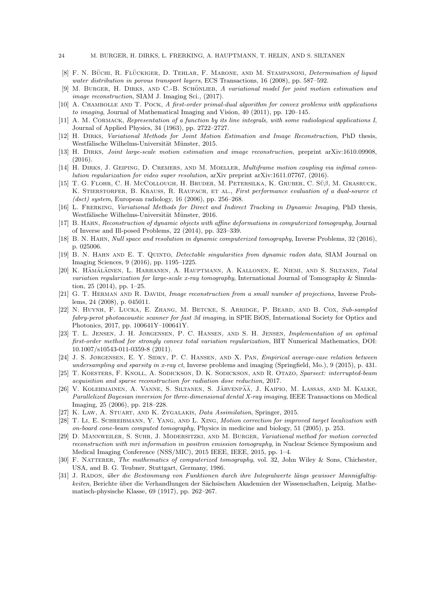- <span id="page-23-12"></span>[8] F. N. BÜCHI, R. FLÜCKIGER, D. TEHLAR, F. MARONE, AND M. STAMPANONI, *Determination of liquid* water distribution in porous transport layers, ECS Transactions, 16 (2008), pp. 587–592.
- <span id="page-23-19"></span>[9] M. BURGER, H. DIRKS, AND C.-B. SCHÖNLIEB, A variational model for joint motion estimation and image reconstruction, SIAM J. Imaging Sci., (2017).
- <span id="page-23-21"></span>[10] A. Chambolle and T. Pock, A first-order primal-dual algorithm for convex problems with applications to imaging, Journal of Mathematical Imaging and Vision, 40 (2011), pp. 120–145.
- <span id="page-23-1"></span>[11] A. M. CORMACK, Representation of a function by its line integrals, with some radiological applications I, Journal of Applied Physics, 34 (1963), pp. 2722–2727.
- <span id="page-23-6"></span>[12] H. Dirks, Variational Methods for Joint Motion Estimation and Image Reconstruction, PhD thesis, Westfälische Wilhelms-Universität Münster, 2015.
- <span id="page-23-7"></span>[13] H. Dirks, Joint large-scale motion estimation and image reconstruction, preprint arXiv:1610.09908,  $(2016)$ .
- <span id="page-23-8"></span>[14] H. DIRKS, J. GEIPING, D. CREMERS, AND M. MOELLER, *Multiframe motion coupling via infimal convo*lution regularization for video super resolution, arXiv preprint arXiv:1611.07767, (2016).
- <span id="page-23-11"></span>[15] T. G. FLOHR, C. H. McCollough, H. BRUDER, M. PETERSILKA, K. GRUBER, C. SÜ $\beta$ , M. GRASRUCK, K. STIERSTORFER, B. KRAUSS, R. RAUPACH, ET AL., First performance evaluation of a dual-source ct (dsct) system, European radiology, 16 (2006), pp. 256–268.
- <span id="page-23-9"></span>[16] L. FRERKING, Variational Methods for Direct and Indirect Tracking in Dynamic Imaging, PhD thesis, Westfälische Wilhelms-Universität Münster, 2016.
- <span id="page-23-3"></span>[17] B. Hahn, Reconstruction of dynamic objects with affine deformations in computerized tomography, Journal of Inverse and Ill-posed Problems, 22 (2014), pp. 323–339.
- <span id="page-23-4"></span>[18] B. N. Hahn, Null space and resolution in dynamic computerized tomography, Inverse Problems, 32 (2016), p. 025006.
- <span id="page-23-5"></span>[19] B. N. Hahn and E. T. Quinto, Detectable singularities from dynamic radon data, SIAM Journal on Imaging Sciences, 9 (2016), pp. 1195–1225.
- <span id="page-23-23"></span>[20] K. HÄMÄLÄINEN, L. HARHANEN, A. HAUPTMANN, A. KALLONEN, E. NIEMI, AND S. SILTANEN, Total variation regularization for large-scale x-ray tomography, International Journal of Tomography & Simulation, 25 (2014), pp. 1–25.
- <span id="page-23-16"></span>[21] G. T. HERMAN AND R. DAVIDI, Image reconstruction from a small number of projections, Inverse Problems, 24 (2008), p. 045011.
- <span id="page-23-10"></span>[22] N. Huynh, F. Lucka, E. Zhang, M. Betcke, S. Arridge, P. Beard, and B. Cox, Sub-sampled fabry-perot photoacoustic scanner for fast 3d imaging, in SPIE BiOS, International Society for Optics and Photonics, 2017, pp. 100641Y–100641Y.
- <span id="page-23-17"></span>[23] T. L. Jensen, J. H. Jørgensen, P. C. Hansen, and S. H. Jensen, Implementation of an optimal first-order method for strongly convex total variation regularization, BIT Numerical Mathematics, DOI: 10.1007/s10543-011-0359-8 (2011).
- <span id="page-23-13"></span>[24] J. S. Jørgensen, E. Y. Sidky, P. C. Hansen, and X. Pan, Empirical average-case relation between undersampling and sparsity in x-ray ct, Inverse problems and imaging (Springfield, Mo.), 9 (2015), p. 431.
- <span id="page-23-14"></span>[25] T. Koesters, F. Knoll, A. Sodickson, D. K. Sodickson, and R. Otazo, Sparsect: interrupted-beam acquisition and sparse reconstruction for radiation dose reduction, 2017.
- <span id="page-23-18"></span>[26] V. KOLEHMAINEN, A. VANNE, S. SILTANEN, S. JÄRVENPÄÄ, J. KAIPIO, M. LASSAS, AND M. KALKE, Parallelized Bayesian inversion for three-dimensional dental X-ray imaging, IEEE Transactions on Medical Imaging, 25 (2006), pp. 218–228.
- <span id="page-23-20"></span>[27] K. Law, A. Stuart, and K. Zygalakis, Data Assimilation, Springer, 2015.
- <span id="page-23-2"></span>[28] T. Li, E. SCHREIBMANN, Y. YANG, AND L. XING, *Motion correction for improved target localization with* on-board cone-beam computed tomography, Physics in medicine and biology, 51 (2005), p. 253.
- <span id="page-23-22"></span>[29] D. Mannweiler, S. Suhr, J. Modersitzki, and M. Burger, Variational method for motion corrected reconstruction with mri information in positron emission tomography, in Nuclear Science Symposium and Medical Imaging Conference (NSS/MIC), 2015 IEEE, IEEE, 2015, pp. 1–4.
- <span id="page-23-15"></span>[30] F. NATTERER, The mathematics of computerized tomography, vol. 32, John Wiley & Sons, Chichester, USA, and B. G. Teubner, Stuttgart, Germany, 1986.
- <span id="page-23-0"></span>[31] J. RADON, über die Bestimmung von Funktionen durch ihre Integralwerte längs gewisser Mannigfaltigkeiten, Berichte über die Verhandlungen der Sächsischen Akademien der Wissenschaften, Leipzig. Mathematisch-physische Klasse, 69 (1917), pp. 262–267.